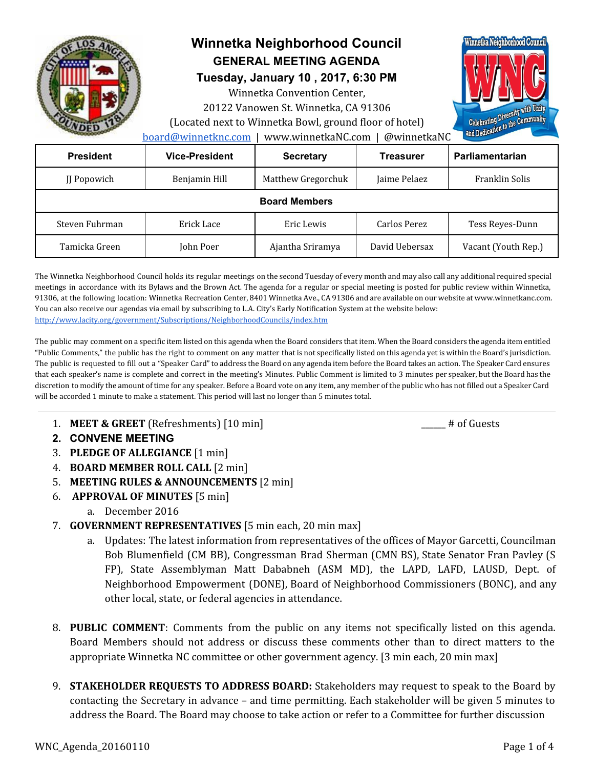

# **Winnetka Neighborhood Council GENERAL MEETING AGENDA**

**Tuesday, January 10 , 2017, 6:30 PM**

Winnetka Convention Center,

20122 Vanowen St. Winnetka, CA 91306 (Located next to Winnetka Bowl, ground floor of hotel)



[board@winnetknc.com](mailto:board@winnetknc.com) | www.winnetkaNC.com | @winnetkaNC

| <b>President</b>     | <b>Vice-President</b> | <b>Secretary</b>   | <b>Treasurer</b> | Parliamentarian     |
|----------------------|-----------------------|--------------------|------------------|---------------------|
| JJ Popowich          | Benjamin Hill         | Matthew Gregorchuk | Jaime Pelaez     | Franklin Solis      |
| <b>Board Members</b> |                       |                    |                  |                     |
| Steven Fuhrman       | Erick Lace            | Eric Lewis         | Carlos Perez     | Tess Reyes-Dunn     |
| Tamicka Green        | John Poer             | Ajantha Sriramya   | David Uebersax   | Vacant (Youth Rep.) |

The Winnetka Neighborhood Council holds its regular meetings on the second Tuesday of every month and may also call any additional required special meetings in accordance with its Bylaws and the Brown Act. The agenda for a regular or special meeting is posted for public review within Winnetka, 91306, at the following location: Winnetka Recreation Center, 8401 Winnetka Ave., CA 91306 and are available on our website at www.winnetkanc.com. You can also receive our agendas via email by subscribing to L.A. City's Early Notification System at the website below: <http://www.lacity.org/government/Subscriptions/NeighborhoodCouncils/index.htm>

The public may comment on a specific item listed on this agenda when the Board considers that item. When the Board considers the agenda item entitled "Public Comments," the public has the right to comment on any matter that is not specifically listed on this agenda yet is within the Board's jurisdiction. The public is requested to fill out a "Speaker Card"to address the Board on any agenda item before the Board takes an action. The Speaker Card ensures that each speaker's name is complete and correct in the meeting's Minutes. Public Comment is limited to 3 minutes per speaker, but the Board has the discretion to modify the amount of time for any speaker. Before a Board vote on any item, any member of the public who has not filled out a Speaker Card will be accorded 1 minute to make a statement. This period will last no longer than 5 minutes total.

1. **MEET & GREET** (Refreshments) [10 min]  $\qquad$  # of Guests

- **2. CONVENE MEETING**
- 3. **PLEDGE OF ALLEGIANCE** [1 min]
- 4. **BOARD MEMBER ROLL CALL** [2 min]
- 5. **MEETING RULES & ANNOUNCEMENTS** [2 min]
- 6. **APPROVAL OF MINUTES** [5 min]
	- a. December 2016
- 7. **GOVERNMENT REPRESENTATIVES** [5 min each, 20 min max]
	- a. Updates: The latest information from representatives of the offices of Mayor Garcetti, Councilman Bob Blumenfield (CM BB), Congressman Brad Sherman (CMN BS), State Senator Fran Pavley (S FP), State Assemblyman Matt Dababneh (ASM MD), the LAPD, LAFD, LAUSD, Dept. of Neighborhood Empowerment (DONE), Board of Neighborhood Commissioners (BONC), and any other local, state, or federal agencies in attendance.
- 8. **PUBLIC COMMENT**: Comments from the public on any items not specifically listed on this agenda. Board Members should not address or discuss these comments other than to direct matters to the appropriate Winnetka NC committee or other government agency. [3 min each, 20 min max]
- 9. **STAKEHOLDER REQUESTS TO ADDRESS BOARD:** Stakeholders may request to speak to the Board by contacting the Secretary in advance – and time permitting. Each stakeholder will be given 5 minutes to address the Board. The Board may choose to take action or refer to a Committee for further discussion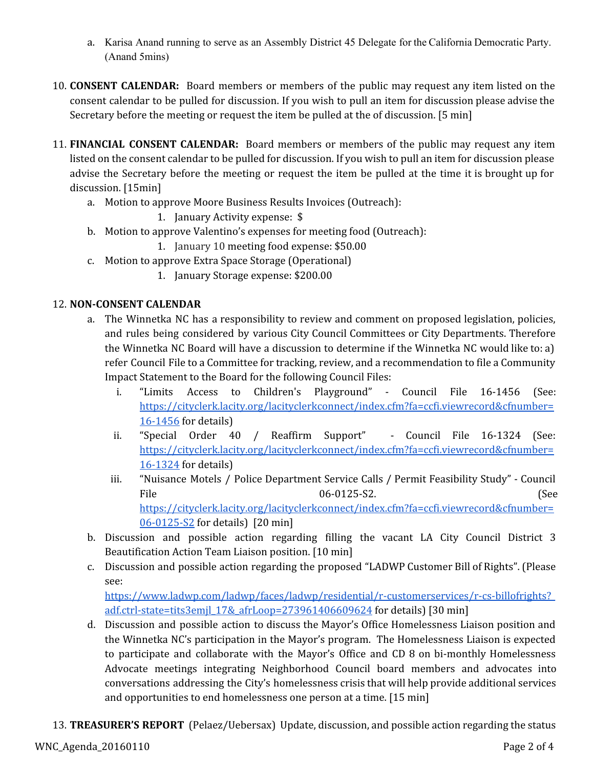- a. Karisa Anand running to serve as an Assembly District 45 Delegate for the California Democratic Party. (Anand 5mins)
- 10. **CONSENT CALENDAR:** Board members or members of the public may request any item listed on the consent calendar to be pulled for discussion. If you wish to pull an item for discussion please advise the Secretary before the meeting or request the item be pulled at the of discussion. [5 min]
- 11. **FINANCIAL CONSENT CALENDAR:** Board members or members of the public may request any item listed on the consent calendar to be pulled for discussion. If you wish to pull an item for discussion please advise the Secretary before the meeting or request the item be pulled at the time it is brought up for discussion. [15min]
	- a. Motion to approve Moore Business Results Invoices (Outreach):
		- 1. January Activity expense: \$
	- b. Motion to approve Valentino's expenses for meeting food (Outreach):
		- 1. January 10 meeting food expense: \$50.00
	- c. Motion to approve Extra Space Storage (Operational)
		- 1. January Storage expense: \$200.00

## 12. **NON-CONSENT CALENDAR**

- a. The Winnetka NC has a responsibility to review and comment on proposed legislation, policies, and rules being considered by various City Council Committees or City Departments. Therefore the Winnetka NC Board will have a discussion to determine if the Winnetka NC would like to: a) refer Council File to a Committee for tracking, review, and a recommendation to file a Community Impact Statement to the Board for the following Council Files:
	- i. "Limits Access to Children's Playground" Council File 16-1456 (See: [https://cityclerk.lacity.org/lacityclerkconnect/index.cfm?fa=ccfi.viewrecord&cfnumber=](https://cityclerk.lacity.org/lacityclerkconnect/index.cfm?fa=ccfi.viewrecord&cfnumber=16-1456) [16-1456](https://cityclerk.lacity.org/lacityclerkconnect/index.cfm?fa=ccfi.viewrecord&cfnumber=16-1456) for details)
	- ii. "Special Order 40 / Reaffirm Support" Council File 16-1324 (See: [https://cityclerk.lacity.org/lacityclerkconnect/index.cfm?fa=ccfi.viewrecord&cfnumber=](https://cityclerk.lacity.org/lacityclerkconnect/index.cfm?fa=ccfi.viewrecord&cfnumber=16-1324) [16-1324](https://cityclerk.lacity.org/lacityclerkconnect/index.cfm?fa=ccfi.viewrecord&cfnumber=16-1324) for details)
	- iii. "Nuisance Motels / Police Department Service Calls / Permit Feasibility Study" Council File 6. 06-0125-S2. (See [https://cityclerk.lacity.org/lacityclerkconnect/index.cfm?fa=ccfi.viewrecord&cfnumber=](https://cityclerk.lacity.org/lacityclerkconnect/index.cfm?fa=ccfi.viewrecord&cfnumber=06-0125-S2) [06-0125-S2](https://cityclerk.lacity.org/lacityclerkconnect/index.cfm?fa=ccfi.viewrecord&cfnumber=06-0125-S2) for details) [20 min]
- b. Discussion and possible action regarding filling the vacant LA City Council District 3 Beautification Action Team Liaison position. [10 min]
- c. Discussion and possible action regarding the proposed "LADWP Customer Bill of Rights". (Please see:

[https://www.ladwp.com/ladwp/faces/ladwp/residential/r-customerservices/r-cs-billofrights?\\_](https://www.ladwp.com/ladwp/faces/ladwp/residential/r-customerservices/r-cs-billofrights?_adf.ctrl-state=tits3emjl_17&_afrLoop=273961406609624) [adf.ctrl-state=tits3emjl\\_17&\\_afrLoop=273961406609624](https://www.ladwp.com/ladwp/faces/ladwp/residential/r-customerservices/r-cs-billofrights?_adf.ctrl-state=tits3emjl_17&_afrLoop=273961406609624) for details) [30 min]

- d. Discussion and possible action to discuss the Mayor's Office Homelessness Liaison position and the Winnetka NC's participation in the Mayor's program. The Homelessness Liaison is expected to participate and collaborate with the Mayor's Office and CD 8 on bi-monthly Homelessness Advocate meetings integrating Neighborhood Council board members and advocates into conversations addressing the City's homelessness crisis that will help provide additional services and opportunities to end homelessness one person at a time. [15 min]
- 13. **TREASURER'S REPORT** (Pelaez/Uebersax) Update, discussion, and possible action regarding the status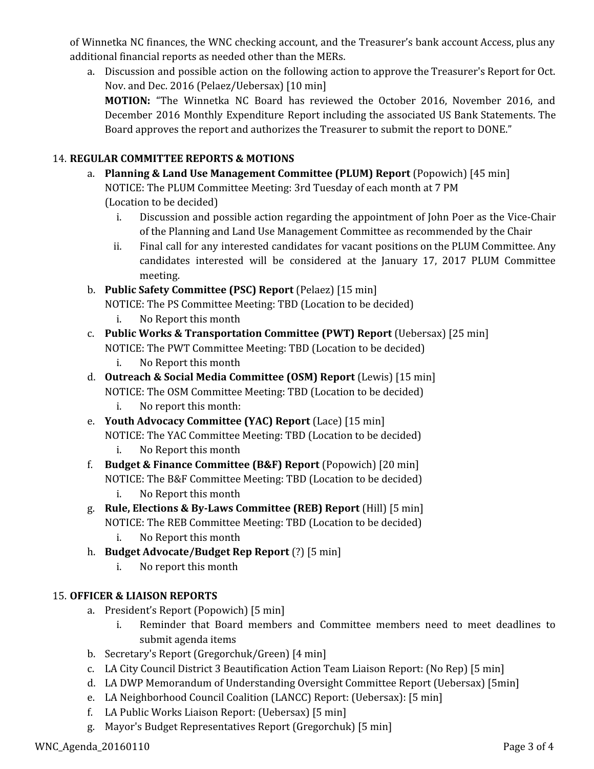of Winnetka NC finances, the WNC checking account, and the Treasurer's bank account Access, plus any additional financial reports as needed other than the MERs.

a. Discussion and possible action on the following action to approve the Treasurer's Report for Oct. Nov. and Dec. 2016 (Pelaez/Uebersax) [10 min] **MOTION:** "The Winnetka NC Board has reviewed the October 2016, November 2016, and December 2016 Monthly Expenditure Report including the associated US Bank Statements. The Board approves the report and authorizes the Treasurer to submit the report to DONE."

## 14. **REGULAR COMMITTEE REPORTS & MOTIONS**

- a. **Planning & Land Use Management Committee (PLUM) Report** (Popowich) [45 min] NOTICE: The PLUM Committee Meeting: 3rd Tuesday of each month at 7 PM (Location to be decided)
	- i. Discussion and possible action regarding the appointment of John Poer as the Vice-Chair of the Planning and Land Use Management Committee as recommended by the Chair
	- ii. Final call for any interested candidates for vacant positions on the PLUM Committee. Any candidates interested will be considered at the January 17, 2017 PLUM Committee meeting.

## b. **Public Safety Committee (PSC) Report** (Pelaez) [15 min]

NOTICE: The PS Committee Meeting: TBD (Location to be decided)

- i. No Report this month
- c. **Public Works & Transportation Committee (PWT) Report** (Uebersax) [25 min] NOTICE: The PWT Committee Meeting: TBD (Location to be decided)
	- i. No Report this month
- d. **Outreach & Social Media Committee (OSM) Report** (Lewis) [15 min] NOTICE: The OSM Committee Meeting: TBD (Location to be decided)
	- i. No report this month:
- e. **Youth Advocacy Committee (YAC) Report** (Lace) [15 min] NOTICE: The YAC Committee Meeting: TBD (Location to be decided)
	- i. No Report this month
- f. **Budget & Finance Committee (B&F) Report** (Popowich) [20 min] NOTICE: The B&F Committee Meeting: TBD (Location to be decided) i. No Report this month
- g. **Rule, Elections & By-Laws Committee (REB) Report** (Hill) [5 min] NOTICE: The REB Committee Meeting: TBD (Location to be decided)
	- i. No Report this month
- h. **Budget Advocate/Budget Rep Report** (?) [5 min]
	- i. No report this month

## 15. **OFFICER & LIAISON REPORTS**

- a. President's Report (Popowich) [5 min]
	- i. Reminder that Board members and Committee members need to meet deadlines to submit agenda items
- b. Secretary's Report (Gregorchuk/Green) [4 min]
- c. LA City Council District 3 Beautification Action Team Liaison Report: (No Rep) [5 min]
- d. LA DWP Memorandum of Understanding Oversight Committee Report (Uebersax) [5min]
- e. LA Neighborhood Council Coalition (LANCC) Report: (Uebersax): [5 min]
- f. LA Public Works Liaison Report: (Uebersax) [5 min]
- g. Mayor's Budget Representatives Report (Gregorchuk) [5 min]